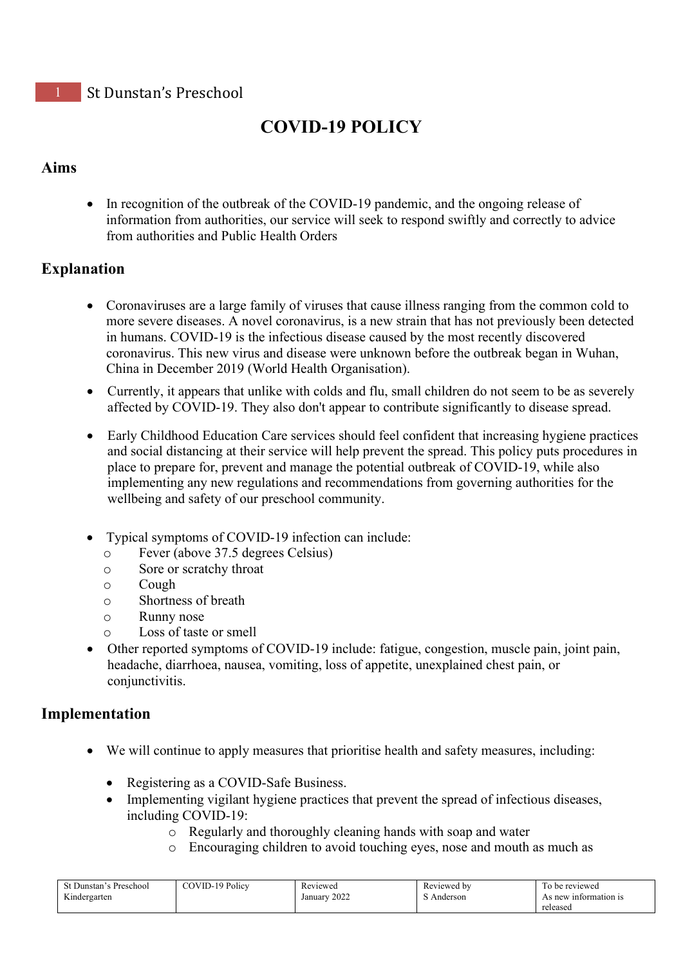# **COVID-19 POLICY**

### **Aims**

• In recognition of the outbreak of the COVID-19 pandemic, and the ongoing release of information from authorities, our service will seek to respond swiftly and correctly to advice from authorities and Public Health Orders

### **Explanation**

- Coronaviruses are a large family of viruses that cause illness ranging from the common cold to more severe diseases. A novel coronavirus, is a new strain that has not previously been detected in humans. COVID-19 is the infectious disease caused by the most recently discovered coronavirus. This new virus and disease were unknown before the outbreak began in Wuhan, China in December 2019 (World Health Organisation).
- Currently, it appears that unlike with colds and flu, small children do not seem to be as severely affected by COVID-19. They also don't appear to contribute significantly to disease spread.
- Early Childhood Education Care services should feel confident that increasing hygiene practices and social distancing at their service will help prevent the spread. This policy puts procedures in place to prepare for, prevent and manage the potential outbreak of COVID-19, while also implementing any new regulations and recommendations from governing authorities for the wellbeing and safety of our preschool community.
- Typical symptoms of COVID-19 infection can include:
	- o Fever (above 37.5 degrees Celsius)
	- $\circ$  Sore or scratchy throat  $\circ$
	- Cough
	- o Shortness of breath
	- o Runny nose
	- Loss of taste or smell
- Other reported symptoms of COVID-19 include: fatigue, congestion, muscle pain, joint pain, headache, diarrhoea, nausea, vomiting, loss of appetite, unexplained chest pain, or conjunctivitis.

### **Implementation**

- We will continue to apply measures that prioritise health and safety measures, including:
	- Registering as a COVID-Safe Business.
	- Implementing vigilant hygiene practices that prevent the spread of infectious diseases, including COVID-19:
		- o Regularly and thoroughly cleaning hands with soap and water
		- o Encouraging children to avoid touching eyes, nose and mouth as much as

| $\sqrt{2}$<br>Preschool<br>-Dunstan | <sup>1</sup> <sup>0</sup> Policy<br>COVID-1' | n.<br>Reviewed  | Reviewed by | reviewed<br>, he           |
|-------------------------------------|----------------------------------------------|-----------------|-------------|----------------------------|
| $\mathbf{r}$<br>Kindergarten        |                                              | 2022<br>January | Anderson    | As new<br>≀ information is |
|                                     |                                              |                 |             | released                   |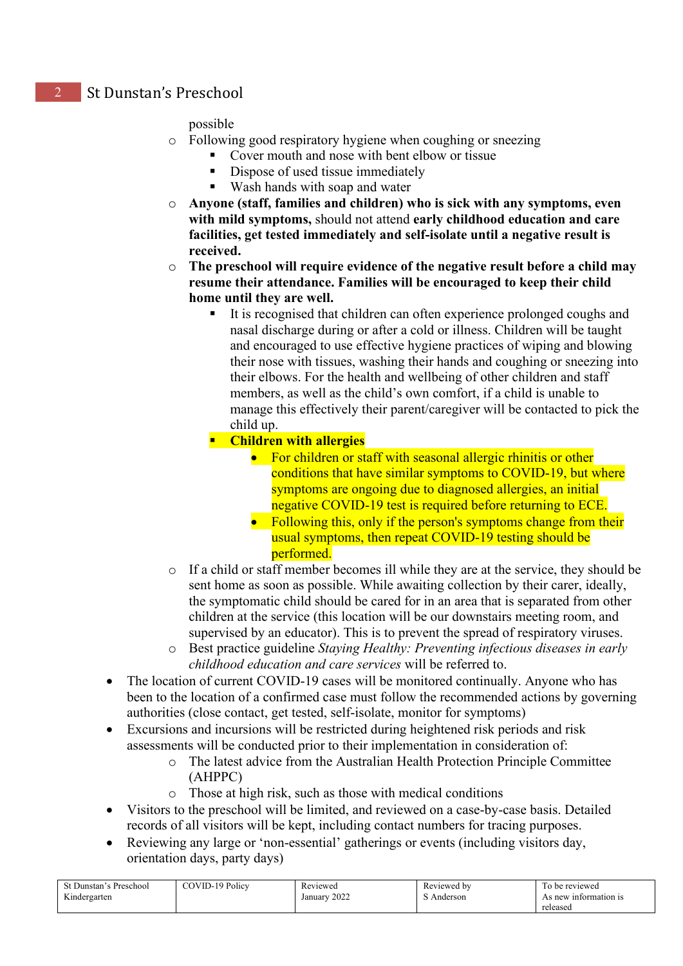#### possible

- o Following good respiratory hygiene when coughing or sneezing
	- Cover mouth and nose with bent elbow or tissue
		- Dispose of used tissue immediately
		- Wash hands with soap and water
- o **Anyone (staff, families and children) who is sick with any symptoms, even with mild symptoms,** should not attend **early childhood education and care facilities, get tested immediately and self-isolate until a negative result is received.**
- o **The preschool will require evidence of the negative result before a child may resume their attendance. Families will be encouraged to keep their child home until they are well.**
	- It is recognised that children can often experience prolonged coughs and nasal discharge during or after a cold or illness. Children will be taught and encouraged to use effective hygiene practices of wiping and blowing their nose with tissues, washing their hands and coughing or sneezing into their elbows. For the health and wellbeing of other children and staff members, as well as the child's own comfort, if a child is unable to manage this effectively their parent/caregiver will be contacted to pick the child up.

#### **Children with allergies**

- For children or staff with seasonal allergic rhinitis or other conditions that have similar symptoms to COVID-19, but where symptoms are ongoing due to diagnosed allergies, an initial negative COVID-19 test is required before returning to ECE.
- Following this, only if the person's symptoms change from their usual symptoms, then repeat COVID-19 testing should be performed.
- o If a child or staff member becomes ill while they are at the service, they should be sent home as soon as possible. While awaiting collection by their carer, ideally, the symptomatic child should be cared for in an area that is separated from other children at the service (this location will be our downstairs meeting room, and supervised by an educator). This is to prevent the spread of respiratory viruses.
- o Best practice guideline *Staying Healthy: Preventing infectious diseases in early childhood education and care services* will be referred to.
- The location of current COVID-19 cases will be monitored continually. Anyone who has been to the location of a confirmed case must follow the recommended actions by governing authorities (close contact, get tested, self-isolate, monitor for symptoms)
- Excursions and incursions will be restricted during heightened risk periods and risk assessments will be conducted prior to their implementation in consideration of:
	- o The latest advice from the Australian Health Protection Principle Committee (AHPPC)
	- o Those at high risk, such as those with medical conditions
- Visitors to the preschool will be limited, and reviewed on a case-by-case basis. Detailed records of all visitors will be kept, including contact numbers for tracing purposes.
- Reviewing any large or 'non-essential' gatherings or events (including visitors day, orientation days, party days)

| t Dunstan's Preschool<br>Kindergarten | COVID-19 Policy | Reviewed<br>2022<br>January | Reviewed by<br>$\sim$<br>Anderson | I'o be reviewed<br>As new information is |
|---------------------------------------|-----------------|-----------------------------|-----------------------------------|------------------------------------------|
|                                       |                 |                             |                                   | released                                 |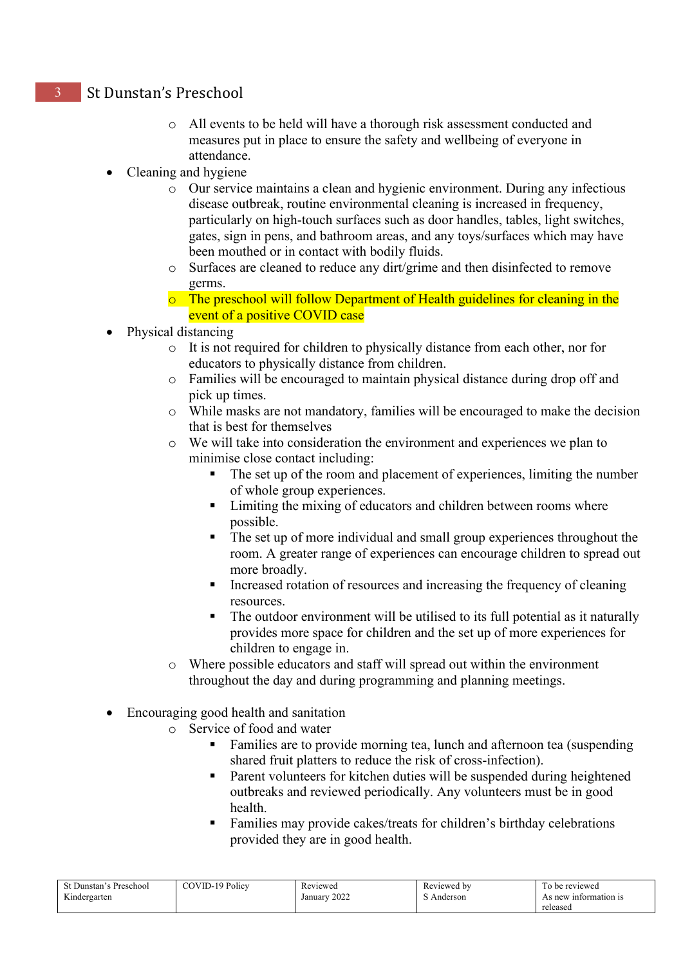- o All events to be held will have a thorough risk assessment conducted and measures put in place to ensure the safety and wellbeing of everyone in attendance.
- Cleaning and hygiene
	- o Our service maintains a clean and hygienic environment. During any infectious disease outbreak, routine environmental cleaning is increased in frequency, particularly on high-touch surfaces such as door handles, tables, light switches, gates, sign in pens, and bathroom areas, and any toys/surfaces which may have been mouthed or in contact with bodily fluids.
	- o Surfaces are cleaned to reduce any dirt/grime and then disinfected to remove germs.
	- o The preschool will follow Department of Health guidelines for cleaning in the event of a positive COVID case
- Physical distancing
	- o It is not required for children to physically distance from each other, nor for educators to physically distance from children.
	- o Families will be encouraged to maintain physical distance during drop off and pick up times.
	- o While masks are not mandatory, families will be encouraged to make the decision that is best for themselves
	- o We will take into consideration the environment and experiences we plan to minimise close contact including:
		- The set up of the room and placement of experiences, limiting the number of whole group experiences.
		- Limiting the mixing of educators and children between rooms where possible.
		- The set up of more individual and small group experiences throughout the room. A greater range of experiences can encourage children to spread out more broadly.
		- Increased rotation of resources and increasing the frequency of cleaning resources.
		- The outdoor environment will be utilised to its full potential as it naturally provides more space for children and the set up of more experiences for children to engage in.
	- o Where possible educators and staff will spread out within the environment throughout the day and during programming and planning meetings.
- Encouraging good health and sanitation
	- o Service of food and water
		- Families are to provide morning tea, lunch and afternoon tea (suspending shared fruit platters to reduce the risk of cross-infection).
		- Parent volunteers for kitchen duties will be suspended during heightened outbreaks and reviewed periodically. Any volunteers must be in good health.
		- Families may provide cakes/treats for children's birthday celebrations provided they are in good health.

| St Dunstan's Preschool | COVID-19 Policy | Reviewed        | Reviewed by | To be reviewed        |
|------------------------|-----------------|-----------------|-------------|-----------------------|
| Kindergarten           |                 | 2022<br>January | S Anderson  | As new information is |
|                        |                 |                 |             | released              |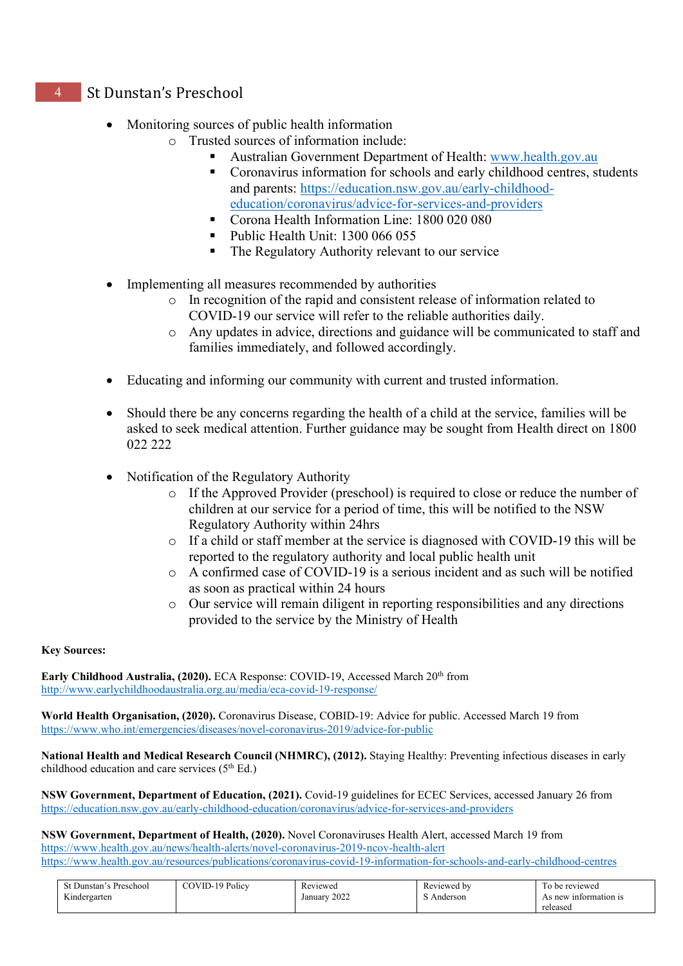- Monitoring sources of public health information
	- o Trusted sources of information include:
		- Australian Government Department of Health: [www.health.gov.au](http://www.health.gov.au/)
		- Coronavirus information for schools and early childhood centres, students and parents: [https://education.nsw.gov.au/early-childhood](https://education.nsw.gov.au/early-childhood-education/coronavirus/advice-for-services-and-providers)[education/coronavirus/advice-for-services-and-providers](https://education.nsw.gov.au/early-childhood-education/coronavirus/advice-for-services-and-providers)
		- Corona Health Information Line: 1800 020 080
		- Public Health Unit: 1300 066 055
		- The Regulatory Authority relevant to our service
- Implementing all measures recommended by authorities
	- o In recognition of the rapid and consistent release of information related to COVID-19 our service will refer to the reliable authorities daily.
	- o Any updates in advice, directions and guidance will be communicated to staff and families immediately, and followed accordingly.
- Educating and informing our community with current and trusted information.
- Should there be any concerns regarding the health of a child at the service, families will be asked to seek medical attention. Further guidance may be sought from Health direct on 1800 022 222
- Notification of the Regulatory Authority
	- o If the Approved Provider (preschool) is required to close or reduce the number of children at our service for a period of time, this will be notified to the NSW Regulatory Authority within 24hrs
	- o If a child or staff member at the service is diagnosed with COVID-19 this will be reported to the regulatory authority and local public health unit
	- o A confirmed case of COVID-19 is a serious incident and as such will be notified as soon as practical within 24 hours
	- o Our service will remain diligent in reporting responsibilities and any directions provided to the service by the Ministry of Health

#### **Key Sources:**

**Early Childhood Australia, (2020).** ECA Response: COVID-19, Accessed March 20<sup>th</sup> from <http://www.earlychildhoodaustralia.org.au/media/eca-covid-19-response/>

**World Health Organisation, (2020).** Coronavirus Disease, COBID-19: Advice for public. Accessed March 19 from <https://www.who.int/emergencies/diseases/novel-coronavirus-2019/advice-for-public>

**National Health and Medical Research Council (NHMRC), (2012).** Staying Healthy: Preventing infectious diseases in early childhood education and care services  $(5<sup>th</sup> Ed.)$ 

**NSW Government, Department of Education, (2021).** Covid-19 guidelines for ECEC Services, accessed January 26 from <https://education.nsw.gov.au/early-childhood-education/coronavirus/advice-for-services-and-providers>

**NSW Government, Department of Health, (2020).** Novel Coronaviruses Health Alert, accessed March 19 from <https://www.health.gov.au/news/health-alerts/novel-coronavirus-2019-ncov-health-alert> <https://www.health.gov.au/resources/publications/coronavirus-covid-19-information-for-schools-and-early-childhood-centres>

| Preschool<br>St Dunstan's | COVID-19 Policy | $\mathbf{r}$<br>Reviewed | Reviewed by | To be reviewed           |
|---------------------------|-----------------|--------------------------|-------------|--------------------------|
| $x \sim$<br>indergarten   |                 | 2022<br>January          | Anderson    | new:<br>7 information is |
|                           |                 |                          |             | released                 |